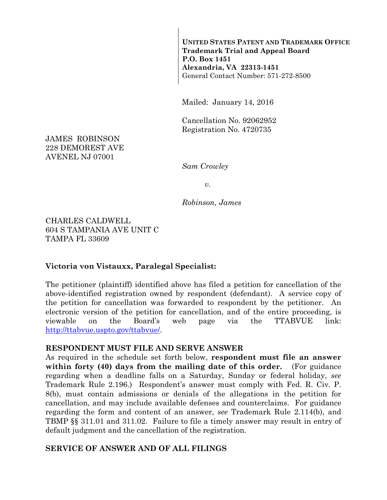**UNITED STATES PATENT AND TRADEMARK OFFICE Trademark Trial and Appeal Board P.O. Box 1451 Alexandria, VA 22313-1451**  General Contact Number: 571-272-8500

Mailed: January 14, 2016

Cancellation No. 92062952 Registration No. 4720735

JAMES ROBINSON 228 DEMOREST AVE AVENEL NJ 07001

*Sam Crowley* 

*v.* 

*Robinson, James* 

CHARLES CALDWELL 604 S TAMPANIA AVE UNIT C TAMPA FL 33609

#### **Victoria von Vistauxx, Paralegal Specialist:**

The petitioner (plaintiff) identified above has filed a petition for cancellation of the above-identified registration owned by respondent (defendant). A service copy of the petition for cancellation was forwarded to respondent by the petitioner. An electronic version of the petition for cancellation, and of the entire proceeding, is viewable on the Board's web page via the TTABVUE link: http://ttabvue.uspto.gov/ttabvue/.

#### **RESPONDENT MUST FILE AND SERVE ANSWER**

As required in the schedule set forth below, **respondent must file an answer within forty (40) days from the mailing date of this order.** (For guidance regarding when a deadline falls on a Saturday, Sunday or federal holiday, *see* Trademark Rule 2.196.) Respondent's answer must comply with Fed. R. Civ. P. 8(b), must contain admissions or denials of the allegations in the petition for cancellation, and may include available defenses and counterclaims. For guidance regarding the form and content of an answer, *see* Trademark Rule 2.114(b), and TBMP §§ 311.01 and 311.02. Failure to file a timely answer may result in entry of default judgment and the cancellation of the registration.

#### **SERVICE OF ANSWER AND OF ALL FILINGS**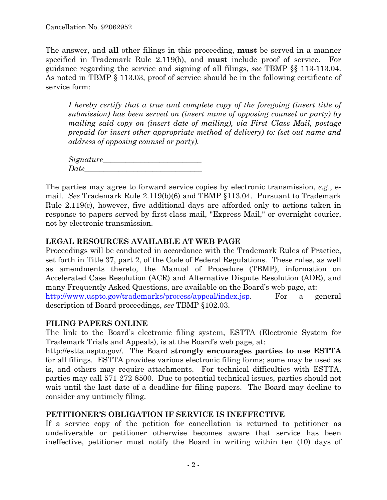The answer, and **all** other filings in this proceeding, **must** be served in a manner specified in Trademark Rule 2.119(b), and **must** include proof of service. For guidance regarding the service and signing of all filings, *see* TBMP §§ 113-113.04. As noted in TBMP § 113.03, proof of service should be in the following certificate of service form:

*I hereby certify that a true and complete copy of the foregoing (insert title of submission) has been served on (insert name of opposing counsel or party) by mailing said copy on (insert date of mailing), via First Class Mail, postage prepaid (or insert other appropriate method of delivery) to: (set out name and address of opposing counsel or party).* 

*Signature\_\_\_\_\_\_\_\_\_\_\_\_\_\_\_\_\_\_\_\_\_\_\_\_\_\_*   $Date$ 

The parties may agree to forward service copies by electronic transmission, *e.g*., email. *See* Trademark Rule 2.119(b)(6) and TBMP §113.04. Pursuant to Trademark Rule 2.119(c), however, five additional days are afforded only to actions taken in response to papers served by first-class mail, "Express Mail," or overnight courier, not by electronic transmission.

# **LEGAL RESOURCES AVAILABLE AT WEB PAGE**

Proceedings will be conducted in accordance with the Trademark Rules of Practice, set forth in Title 37, part 2, of the Code of Federal Regulations.These rules, as well as amendments thereto, the Manual of Procedure (TBMP), information on Accelerated Case Resolution (ACR) and Alternative Dispute Resolution (ADR), and many Frequently Asked Questions, are available on the Board's web page, at: http://www.uspto.gov/trademarks/process/appeal/index.jsp. For a general description of Board proceedings, *see* TBMP §102.03.

### **FILING PAPERS ONLINE**

The link to the Board's electronic filing system, ESTTA (Electronic System for Trademark Trials and Appeals), is at the Board's web page, at:

http://estta.uspto.gov/. The Board **strongly encourages parties to use ESTTA** for all filings. ESTTA provides various electronic filing forms; some may be used as is, and others may require attachments. For technical difficulties with ESTTA, parties may call 571-272-8500. Due to potential technical issues, parties should not wait until the last date of a deadline for filing papers. The Board may decline to consider any untimely filing.

# **PETITIONER'S OBLIGATION IF SERVICE IS INEFFECTIVE**

If a service copy of the petition for cancellation is returned to petitioner as undeliverable or petitioner otherwise becomes aware that service has been ineffective, petitioner must notify the Board in writing within ten (10) days of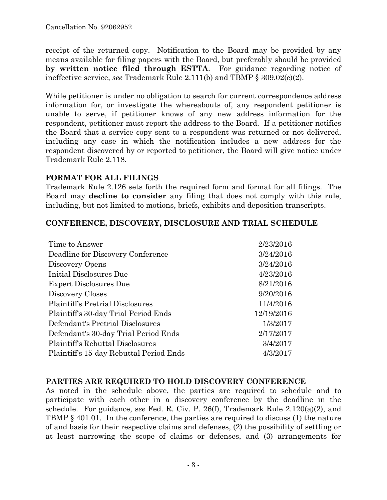receipt of the returned copy. Notification to the Board may be provided by any means available for filing papers with the Board, but preferably should be provided **by written notice filed through ESTTA**. For guidance regarding notice of ineffective service, *see* Trademark Rule 2.111(b) and TBMP § 309.02(c)(2).

While petitioner is under no obligation to search for current correspondence address information for, or investigate the whereabouts of, any respondent petitioner is unable to serve, if petitioner knows of any new address information for the respondent, petitioner must report the address to the Board. If a petitioner notifies the Board that a service copy sent to a respondent was returned or not delivered, including any case in which the notification includes a new address for the respondent discovered by or reported to petitioner, the Board will give notice under Trademark Rule 2.118.

### **FORMAT FOR ALL FILINGS**

Trademark Rule 2.126 sets forth the required form and format for all filings. The Board may **decline to consider** any filing that does not comply with this rule, including, but not limited to motions, briefs, exhibits and deposition transcripts.

# **CONFERENCE, DISCOVERY, DISCLOSURE AND TRIAL SCHEDULE**

| Time to Answer                          | 2/23/2016  |
|-----------------------------------------|------------|
| Deadline for Discovery Conference       | 3/24/2016  |
| Discovery Opens                         | 3/24/2016  |
| Initial Disclosures Due                 | 4/23/2016  |
| <b>Expert Disclosures Due</b>           | 8/21/2016  |
| Discovery Closes                        | 9/20/2016  |
| <b>Plaintiff's Pretrial Disclosures</b> | 11/4/2016  |
| Plaintiff's 30-day Trial Period Ends    | 12/19/2016 |
| Defendant's Pretrial Disclosures        | 1/3/2017   |
| Defendant's 30-day Trial Period Ends    | 2/17/2017  |
| Plaintiff's Rebuttal Disclosures        | 3/4/2017   |
| Plaintiff's 15-day Rebuttal Period Ends | 4/3/2017   |

### **PARTIES ARE REQUIRED TO HOLD DISCOVERY CONFERENCE**

As noted in the schedule above, the parties are required to schedule and to participate with each other in a discovery conference by the deadline in the schedule. For guidance, s*ee* Fed. R. Civ. P. 26(f), Trademark Rule 2.120(a)(2), and TBMP § 401.01. In the conference, the parties are required to discuss (1) the nature of and basis for their respective claims and defenses, (2) the possibility of settling or at least narrowing the scope of claims or defenses, and (3) arrangements for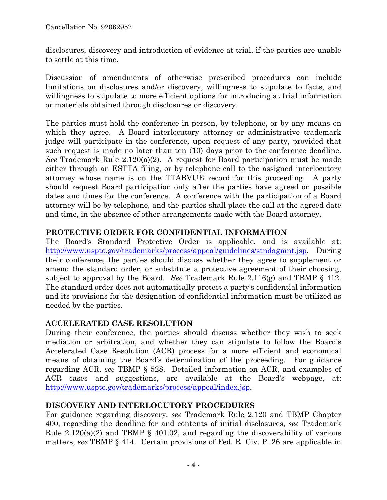disclosures, discovery and introduction of evidence at trial, if the parties are unable to settle at this time.

Discussion of amendments of otherwise prescribed procedures can include limitations on disclosures and/or discovery, willingness to stipulate to facts, and willingness to stipulate to more efficient options for introducing at trial information or materials obtained through disclosures or discovery.

The parties must hold the conference in person, by telephone, or by any means on which they agree. A Board interlocutory attorney or administrative trademark judge will participate in the conference, upon request of any party, provided that such request is made no later than ten (10) days prior to the conference deadline. *See* Trademark Rule 2.120(a)(2). A request for Board participation must be made either through an ESTTA filing, or by telephone call to the assigned interlocutory attorney whose name is on the TTABVUE record for this proceeding. A party should request Board participation only after the parties have agreed on possible dates and times for the conference. A conference with the participation of a Board attorney will be by telephone, and the parties shall place the call at the agreed date and time, in the absence of other arrangements made with the Board attorney.

# **PROTECTIVE ORDER FOR CONFIDENTIAL INFORMATION**

The Board's Standard Protective Order is applicable, and is available at: http://www.uspto.gov/trademarks/process/appeal/guidelines/stndagmnt.jsp. During their conference, the parties should discuss whether they agree to supplement or amend the standard order, or substitute a protective agreement of their choosing, subject to approval by the Board. *See* Trademark Rule 2.116(g) and TBMP § 412. The standard order does not automatically protect a party's confidential information and its provisions for the designation of confidential information must be utilized as needed by the parties.

### **ACCELERATED CASE RESOLUTION**

During their conference, the parties should discuss whether they wish to seek mediation or arbitration, and whether they can stipulate to follow the Board's Accelerated Case Resolution (ACR) process for a more efficient and economical means of obtaining the Board's determination of the proceeding. For guidance regarding ACR, *see* TBMP § 528. Detailed information on ACR, and examples of ACR cases and suggestions, are available at the Board's webpage, at: http://www.uspto.gov/trademarks/process/appeal/index.jsp.

# **DISCOVERY AND INTERLOCUTORY PROCEDURES**

For guidance regarding discovery, *see* Trademark Rule 2.120 and TBMP Chapter 400, regarding the deadline for and contents of initial disclosures, *see* Trademark Rule  $2.120(a)(2)$  and TBMP § 401.02, and regarding the discoverability of various matters, *see* TBMP § 414. Certain provisions of Fed. R. Civ. P. 26 are applicable in